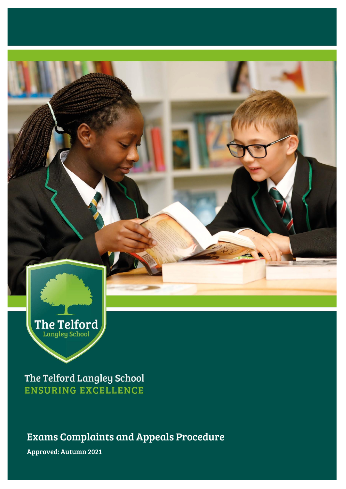

The Telford Langley School **ENSURING EXCELLENCE** 

Exams Complaints and Appeals Procedure

Approved: Autumn 2021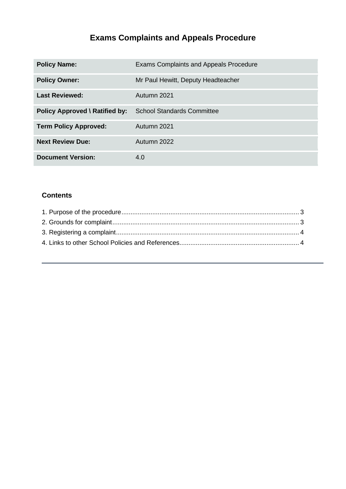# **Exams Complaints and Appeals Procedure**

| <b>Policy Name:</b>                   | <b>Exams Complaints and Appeals Procedure</b> |
|---------------------------------------|-----------------------------------------------|
| <b>Policy Owner:</b>                  | Mr Paul Hewitt, Deputy Headteacher            |
| <b>Last Reviewed:</b>                 | Autumn 2021                                   |
| <b>Policy Approved \ Ratified by:</b> | <b>School Standards Committee</b>             |
| <b>Term Policy Approved:</b>          | Autumn 2021                                   |
| <b>Next Review Due:</b>               | Autumn 2022                                   |
| <b>Document Version:</b>              | 4.0                                           |

### **Contents**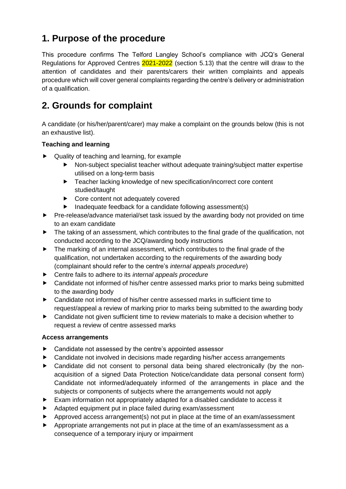## <span id="page-2-0"></span>**1. Purpose of the procedure**

This procedure confirms The Telford Langley School's compliance with JCQ's General Regulations for Approved Centres 2021-2022 (section 5.13) that the centre will draw to the attention of candidates and their parents/carers their written complaints and appeals procedure which will cover general complaints regarding the centre's delivery or administration of a qualification.

## <span id="page-2-1"></span>**2. Grounds for complaint**

A candidate (or his/her/parent/carer) may make a complaint on the grounds below (this is not an exhaustive list).

#### **Teaching and learning**

- ▶ Quality of teaching and learning, for example
	- Non-subject specialist teacher without adequate training/subject matter expertise utilised on a long-term basis
	- ▶ Teacher lacking knowledge of new specification/incorrect core content studied/taught
	- ▶ Core content not adequately covered
	- $\blacktriangleright$  Inadequate feedback for a candidate following assessment(s)
- ▶ Pre-release/advance material/set task issued by the awarding body not provided on time to an exam candidate
- ▶ The taking of an assessment, which contributes to the final grade of the qualification, not conducted according to the JCQ/awarding body instructions
- $\blacktriangleright$  The marking of an internal assessment, which contributes to the final grade of the qualification, not undertaken according to the requirements of the awarding body (complainant should refer to the centre's *internal appeals procedure*)
- Centre fails to adhere to its *internal appeals procedure*
- ▶ Candidate not informed of his/her centre assessed marks prior to marks being submitted to the awarding body
- Candidate not informed of his/her centre assessed marks in sufficient time to request/appeal a review of marking prior to marks being submitted to the awarding body
- ▶ Candidate not given sufficient time to review materials to make a decision whether to request a review of centre assessed marks

#### **Access arrangements**

- ▶ Candidate not assessed by the centre's appointed assessor
- ▶ Candidate not involved in decisions made regarding his/her access arrangements
- Candidate did not consent to personal data being shared electronically (by the nonacquisition of a signed Data Protection Notice/candidate data personal consent form) Candidate not informed/adequately informed of the arrangements in place and the subjects or components of subjects where the arrangements would not apply
- Exam information not appropriately adapted for a disabled candidate to access it
- Adapted equipment put in place failed during exam/assessment
- Approved access arrangement(s) not put in place at the time of an exam/assessment
- Appropriate arrangements not put in place at the time of an exam/assessment as a consequence of a temporary injury or impairment